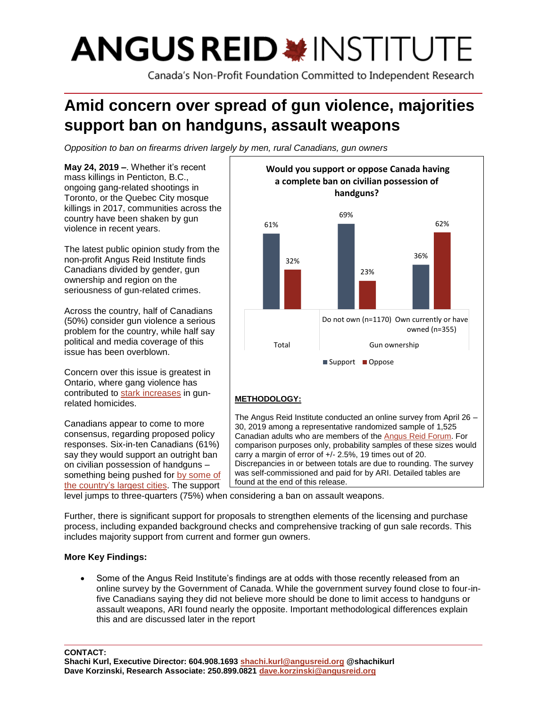# **ANGUS REID \*INSTITUTE**

Canada's Non-Profit Foundation Committed to Independent Research

# **Amid concern over spread of gun violence, majorities support ban on handguns, assault weapons**

*Opposition to ban on firearms driven largely by men, rural Canadians, gun owners*

**May 24, 2019 –**. Whether it's recent mass killings in Penticton, B.C., ongoing gang-related shootings in Toronto, or the Quebec City mosque killings in 2017, communities across the country have been shaken by gun violence in recent years.

The latest public opinion study from the non-profit Angus Reid Institute finds Canadians divided by gender, gun ownership and region on the seriousness of gun-related crimes.

Across the country, half of Canadians (50%) consider gun violence a serious problem for the country, while half say political and media coverage of this issue has been overblown.

Concern over this issue is greatest in Ontario, where gang violence has contributed to [stark increases](https://www.ctvnews.ca/canada/statistics-canada-blames-gang-violence-shootings-as-homicide-rate-hits-10-year-high-1.4186494) in gunrelated homicides.

Canadians appear to come to more consensus, regarding proposed policy responses. Six-in-ten Canadians (61%) say they would support an outright ban on civilian possession of handguns – something being pushed for [by some of](https://www.theglobeandmail.com/canada/article-montreal-calls-for-national-handgun-ban/)  [the country's largest cities.](https://www.theglobeandmail.com/canada/article-montreal-calls-for-national-handgun-ban/) The support



level jumps to three-quarters (75%) when considering a ban on assault weapons.

Further, there is significant support for proposals to strengthen elements of the licensing and purchase process, including expanded background checks and comprehensive tracking of gun sale records. This includes majority support from current and former gun owners.

# **More Key Findings:**

• Some of the Angus Reid Institute's findings are at odds with those recently released from an online survey by the Government of Canada. While the government survey found close to four-infive Canadians saying they did not believe more should be done to limit access to handguns or assault weapons, ARI found nearly the opposite. Important methodological differences explain this and are discussed later in the report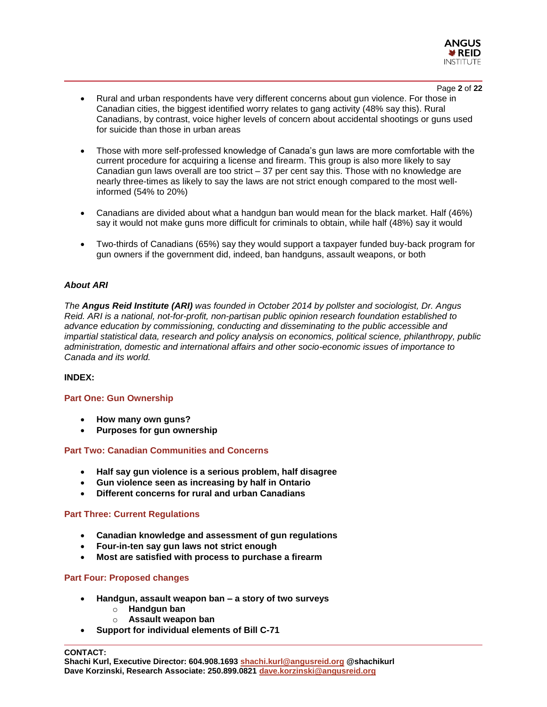

- Page **2** of **22** • Rural and urban respondents have very different concerns about gun violence. For those in Canadian cities, the biggest identified worry relates to gang activity (48% say this). Rural Canadians, by contrast, voice higher levels of concern about accidental shootings or guns used for suicide than those in urban areas
- Those with more self-professed knowledge of Canada's gun laws are more comfortable with the current procedure for acquiring a license and firearm. This group is also more likely to say Canadian gun laws overall are too strict – 37 per cent say this. Those with no knowledge are nearly three-times as likely to say the laws are not strict enough compared to the most wellinformed (54% to 20%)
- Canadians are divided about what a handgun ban would mean for the black market. Half (46%) say it would not make guns more difficult for criminals to obtain, while half (48%) say it would
- Two-thirds of Canadians (65%) say they would support a taxpayer funded buy-back program for gun owners if the government did, indeed, ban handguns, assault weapons, or both

# *About ARI*

*The Angus Reid Institute (ARI) was founded in October 2014 by pollster and sociologist, Dr. Angus Reid. ARI is a national, not-for-profit, non-partisan public opinion research foundation established to advance education by commissioning, conducting and disseminating to the public accessible and impartial statistical data, research and policy analysis on economics, political science, philanthropy, public administration, domestic and international affairs and other socio-economic issues of importance to Canada and its world.*

# **INDEX:**

## **Part One: Gun Ownership**

- **How many own guns?**
- **Purposes for gun ownership**

#### **Part Two: Canadian Communities and Concerns**

- **Half say gun violence is a serious problem, half disagree**
- **Gun violence seen as increasing by half in Ontario**
- **Different concerns for rural and urban Canadians**

#### **Part Three: Current Regulations**

- **Canadian knowledge and assessment of gun regulations**
- **Four-in-ten say gun laws not strict enough**
- **Most are satisfied with process to purchase a firearm**

# **Part Four: Proposed changes**

- **Handgun, assault weapon ban – a story of two surveys**
	- o **Handgun ban**
	- o **Assault weapon ban**
- **Support for individual elements of Bill C-71**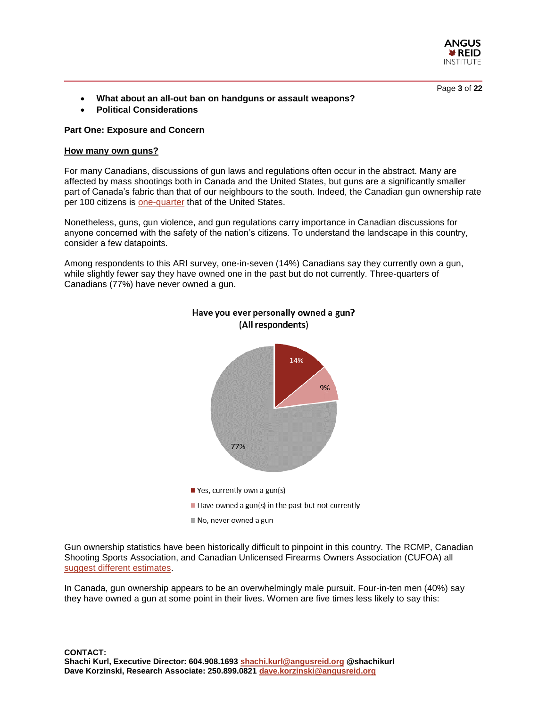

Page **3** of **22**

- **What about an all-out ban on handguns or assault weapons?**
- **Political Considerations**

#### **Part One: Exposure and Concern**

#### **How many own guns?**

For many Canadians, discussions of gun laws and regulations often occur in the abstract. Many are affected by mass shootings both in Canada and the United States, but guns are a significantly smaller part of Canada's fabric than that of our neighbours to the south. Indeed, the Canadian gun ownership rate per 100 citizens is [one-quarter](https://en.wikipedia.org/wiki/Estimated_number_of_civilian_guns_per_capita_by_country) that of the United States.

Nonetheless, guns, gun violence, and gun regulations carry importance in Canadian discussions for anyone concerned with the safety of the nation's citizens. To understand the landscape in this country, consider a few datapoints.

Among respondents to this ARI survey, one-in-seven (14%) Canadians say they currently own a gun, while slightly fewer say they have owned one in the past but do not currently. Three-quarters of Canadians (77%) have never owned a gun.





Have you ever personally owned a gun? (All respondents)

Gun ownership statistics have been historically difficult to pinpoint in this country. The RCMP, Canadian Shooting Sports Association, and Canadian Unlicensed Firearms Owners Association (CUFOA) all [suggest different estimates.](https://nationalpost.com/news/canada/more-guns-in-canada-this-year-but-fewer-owners-rcmp)

In Canada, gun ownership appears to be an overwhelmingly male pursuit. Four-in-ten men (40%) say they have owned a gun at some point in their lives. Women are five times less likely to say this: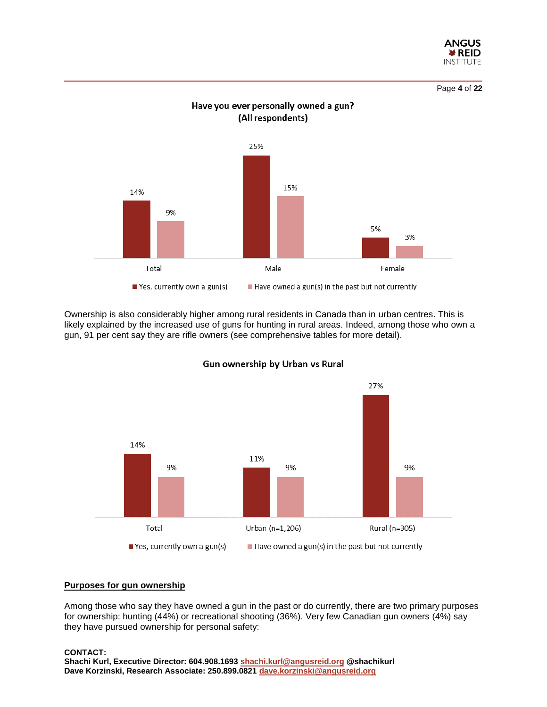

Page **4** of **22**



Have you ever personally owned a gun? (All respondents)

Ownership is also considerably higher among rural residents in Canada than in urban centres. This is likely explained by the increased use of guns for hunting in rural areas. Indeed, among those who own a gun, 91 per cent say they are rifle owners (see comprehensive tables for more detail).



Gun ownership by Urban vs Rural

#### **Purposes for gun ownership**

Among those who say they have owned a gun in the past or do currently, there are two primary purposes for ownership: hunting (44%) or recreational shooting (36%). Very few Canadian gun owners (4%) say they have pursued ownership for personal safety: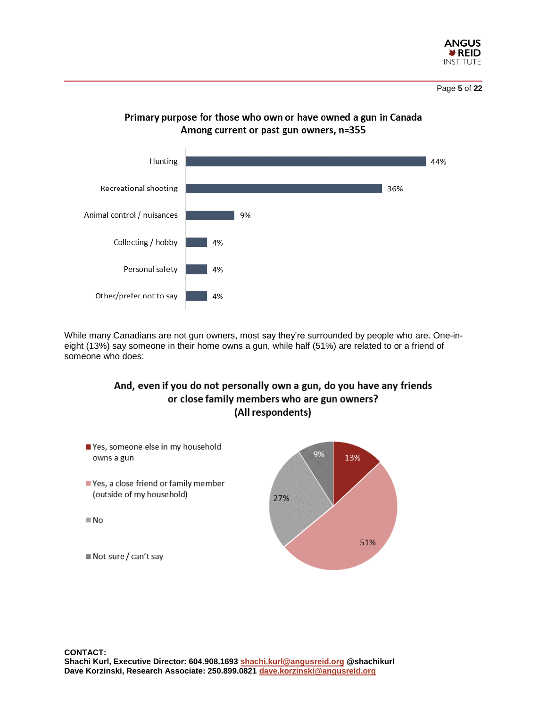

Page **5** of **22**



Primary purpose for those who own or have owned a gun in Canada Among current or past gun owners, n=355

While many Canadians are not gun owners, most say they're surrounded by people who are. One-ineight (13%) say someone in their home owns a gun, while half (51%) are related to or a friend of someone who does:

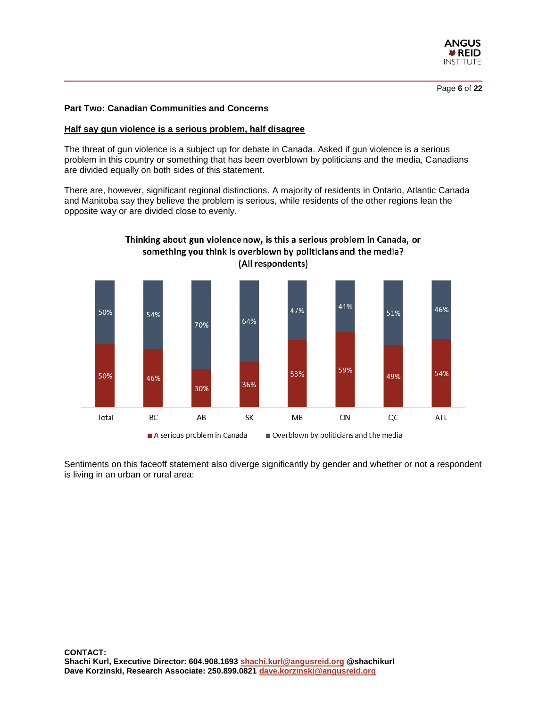

# **Part Two: Canadian Communities and Concerns**

#### **Half say gun violence is a serious problem, half disagree**

The threat of gun violence is a subject up for debate in Canada. Asked if gun violence is a serious problem in this country or something that has been overblown by politicians and the media, Canadians are divided equally on both sides of this statement.

There are, however, significant regional distinctions. A majority of residents in Ontario, Atlantic Canada and Manitoba say they believe the problem is serious, while residents of the other regions lean the opposite way or are divided close to evenly.



Sentiments on this faceoff statement also diverge significantly by gender and whether or not a respondent is living in an urban or rural area: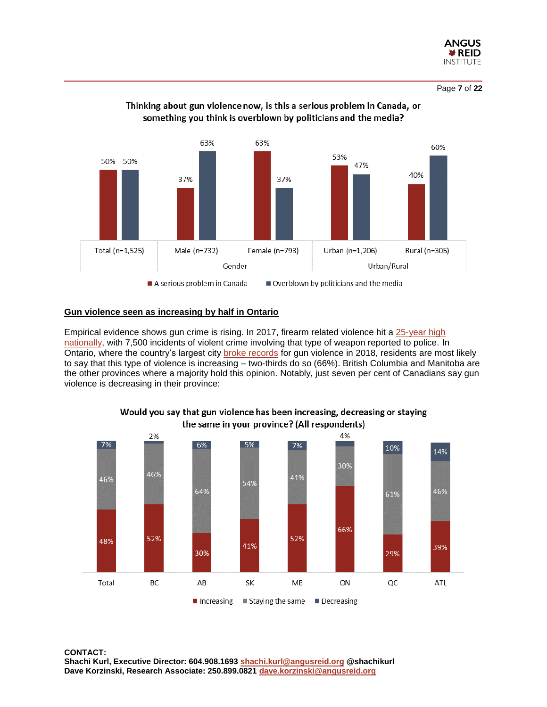



# Thinking about gun violence now, is this a serious problem in Canada, or something you think is overblown by politicians and the media?

# **Gun violence seen as increasing by half in Ontario**

Empirical evidence shows gun crime is rising. In 2017, firearm related violence hit a [25-year high](https://www.thespec.com/opinion-story/9263237-gun-violence-in-canada-is-a-public-health-crisis/) nationally, with 7,500 incidents of violent crime involving that type of weapon reported to police. In Ontario, where the country's largest city [broke records](https://www.ctvnews.ca/canada/a-deadly-year-of-gun-violence-in-toronto-1.4222566) for gun violence in 2018, residents are most likely to say that this type of violence is increasing – two-thirds do so (66%). British Columbia and Manitoba are the other provinces where a majority hold this opinion. Notably, just seven per cent of Canadians say gun violence is decreasing in their province:



#### Would you say that gun violence has been increasing, decreasing or staying the same in your province? (All respondents)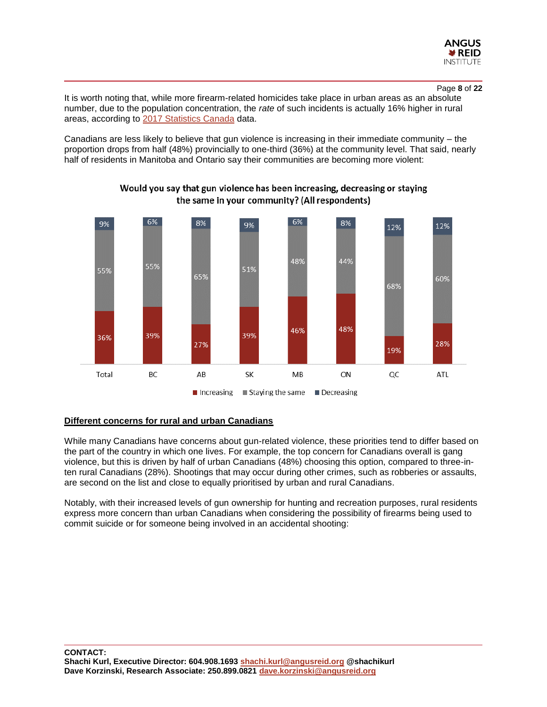

#### Page **8** of **22**

It is worth noting that, while more firearm-related homicides take place in urban areas as an absolute number, due to the population concentration, the *rate* of such incidents is actually 16% higher in rural areas, according to [2017 Statistics Canada](https://www150.statcan.gc.ca/n1/pub/85-002-x/2018001/article/54980-eng.htm) data.

Canadians are less likely to believe that gun violence is increasing in their immediate community – the proportion drops from half (48%) provincially to one-third (36%) at the community level. That said, nearly half of residents in Manitoba and Ontario say their communities are becoming more violent:



# Would you say that gun violence has been increasing, decreasing or staying the same in your community? (All respondents)

#### **Different concerns for rural and urban Canadians**

While many Canadians have concerns about gun-related violence, these priorities tend to differ based on the part of the country in which one lives. For example, the top concern for Canadians overall is gang violence, but this is driven by half of urban Canadians (48%) choosing this option, compared to three-inten rural Canadians (28%). Shootings that may occur during other crimes, such as robberies or assaults, are second on the list and close to equally prioritised by urban and rural Canadians.

Notably, with their increased levels of gun ownership for hunting and recreation purposes, rural residents express more concern than urban Canadians when considering the possibility of firearms being used to commit suicide or for someone being involved in an accidental shooting: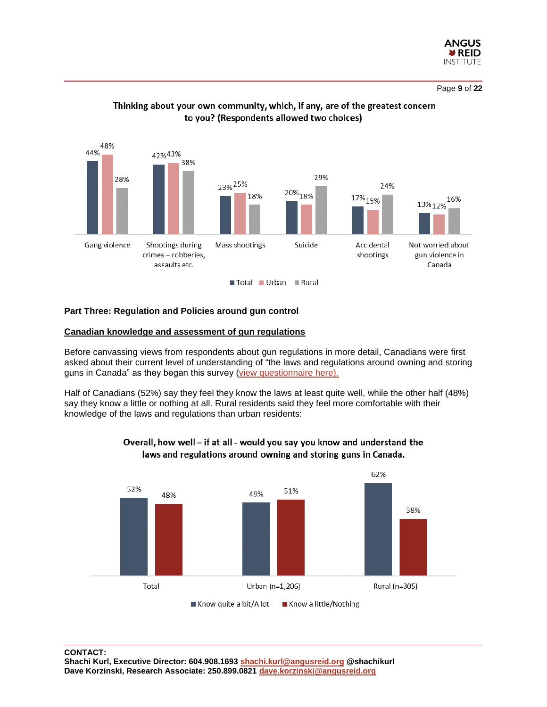

Page **9** of **22**



# Thinking about your own community, which, if any, are of the greatest concern to you? (Respondents allowed two choices)

#### **Part Three: Regulation and Policies around gun control**

#### **Canadian knowledge and assessment of gun regulations**

Before canvassing views from respondents about gun regulations in more detail, Canadians were first asked about their current level of understanding of "the laws and regulations around owning and storing guns in Canada" as they began this survey [\(view questionnaire here\).](http://angusreid.org/wp-content/uploads/2019/05/2019.05.23-GunControl.pdf)

Half of Canadians (52%) say they feel they know the laws at least quite well, while the other half (48%) say they know a little or nothing at all. Rural residents said they feel more comfortable with their knowledge of the laws and regulations than urban residents:



# Overall, how well - if at all - would you say you know and understand the laws and regulations around owning and storing guns in Canada.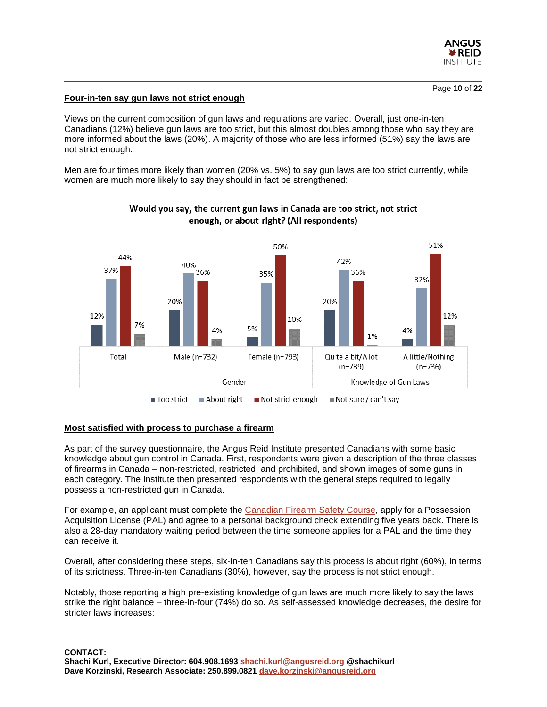

#### **Four-in-ten say gun laws not strict enough**

Views on the current composition of gun laws and regulations are varied. Overall, just one-in-ten Canadians (12%) believe gun laws are too strict, but this almost doubles among those who say they are more informed about the laws (20%). A majority of those who are less informed (51%) say the laws are not strict enough.

Men are four times more likely than women (20% vs. 5%) to say gun laws are too strict currently, while women are much more likely to say they should in fact be strengthened:



# Would you say, the current gun laws in Canada are too strict, not strict enough, or about right? (All respondents)

#### **Most satisfied with process to purchase a firearm**

As part of the survey questionnaire, the Angus Reid Institute presented Canadians with some basic knowledge about gun control in Canada. First, respondents were given a description of the three classes of firearms in Canada – non-restricted, restricted, and prohibited, and shown images of some guns in each category. The Institute then presented respondents with the general steps required to legally possess a non-restricted gun in Canada.

For example, an applicant must complete the [Canadian Firearm Safety Course,](http://www.rcmp-grc.gc.ca/cfp-pcaf/safe_sur/cour-eng.htm) apply for a Possession Acquisition License (PAL) and agree to a personal background check extending five years back. There is also a 28-day mandatory waiting period between the time someone applies for a PAL and the time they can receive it.

Overall, after considering these steps, six-in-ten Canadians say this process is about right (60%), in terms of its strictness. Three-in-ten Canadians (30%), however, say the process is not strict enough.

Notably, those reporting a high pre-existing knowledge of gun laws are much more likely to say the laws strike the right balance – three-in-four (74%) do so. As self-assessed knowledge decreases, the desire for stricter laws increases: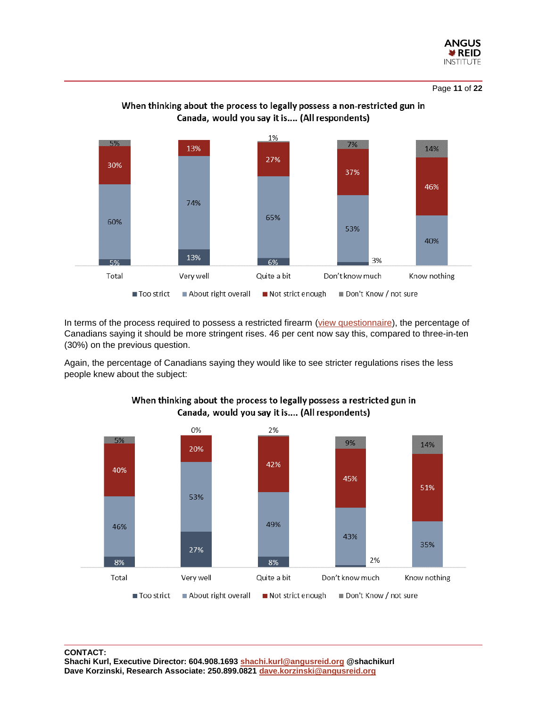

Page **11** of **22**



When thinking about the process to legally possess a non-restricted gun in

In terms of the process required to possess a restricted firearm [\(view questionnaire\)](http://angusreid.org/wp-content/uploads/2019/05/2019.05.23-GunControl.pdf), the percentage of Canadians saying it should be more stringent rises. 46 per cent now say this, compared to three-in-ten (30%) on the previous question.

Again, the percentage of Canadians saying they would like to see stricter regulations rises the less people knew about the subject:



# When thinking about the process to legally possess a restricted gun in Canada, would you say it is.... (All respondents)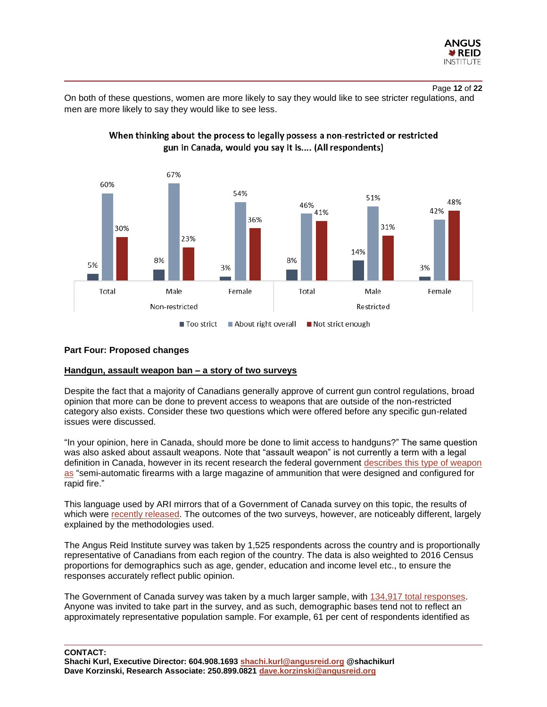

Page **12** of **22** On both of these questions, women are more likely to say they would like to see stricter regulations, and



When thinking about the process to legally possess a non-restricted or restricted gun in Canada, would you say it is.... (All respondents)

## **Part Four: Proposed changes**

# **Handgun, assault weapon ban – a story of two surveys**

men are more likely to say they would like to see less.

Despite the fact that a majority of Canadians generally approve of current gun control regulations, broad opinion that more can be done to prevent access to weapons that are outside of the non-restricted category also exists. Consider these two questions which were offered before any specific gun-related issues were discussed.

"In your opinion, here in Canada, should more be done to limit access to handguns?" The same question was also asked about assault weapons. Note that "assault weapon" is not currently a term with a legal definition in Canada, however in its recent research the federal government [describes this type of weapon](https://theconversation.com/should-canada-ban-assault-style-firearms-109536) [as](https://theconversation.com/should-canada-ban-assault-style-firearms-109536) "semi-automatic firearms with a large magazine of ammunition that were designed and configured for rapid fire."

This language used by ARI mirrors that of a Government of Canada survey on this topic, the results of which were [recently released.](https://www.publicsafety.gc.ca/cnt/rsrcs/pblctns/2019-rdcng-vlnt-crm-dlg/index-en.aspx#fn01) The outcomes of the two surveys, however, are noticeably different, largely explained by the methodologies used.

The Angus Reid Institute survey was taken by 1,525 respondents across the country and is proportionally representative of Canadians from each region of the country. The data is also weighted to 2016 Census proportions for demographics such as age, gender, education and income level etc., to ensure the responses accurately reflect public opinion.

The Government of Canada survey was taken by a much larger sample, with [134,917 total responses.](https://www.publicsafety.gc.ca/cnt/rsrcs/pblctns/2019-rdcng-vlnt-crm-dlg/index-en.aspx#a2) Anyone was invited to take part in the survey, and as such, demographic bases tend not to reflect an approximately representative population sample. For example, 61 per cent of respondents identified as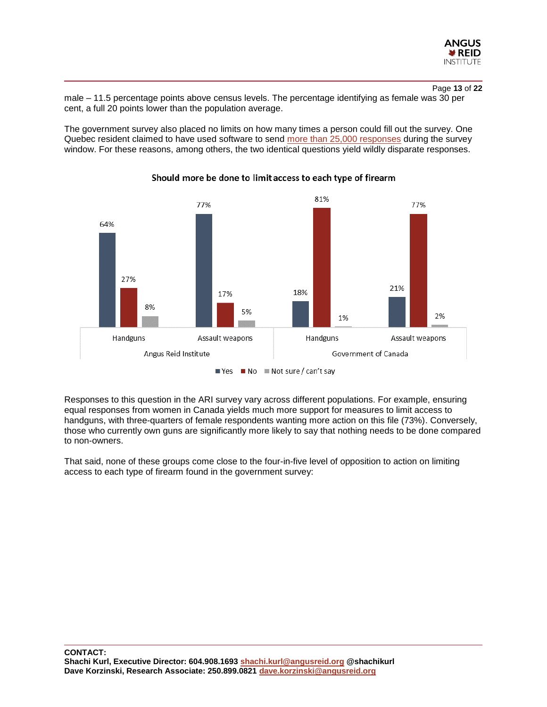

# Page **13** of **22**

male – 11.5 percentage points above census levels. The percentage identifying as female was 30 per cent, a full 20 points lower than the population average.

The government survey also placed no limits on how many times a person could fill out the survey. One Quebec resident claimed to have used software to send [more than 25,000 responses](https://nationalpost.com/news/canada/do-the-results-of-government-questionnaire-on-handguns-truly-reflect-how-canadians-feel) during the survey window. For these reasons, among others, the two identical questions yield wildly disparate responses.



# Should more be done to limit access to each type of firearm

Responses to this question in the ARI survey vary across different populations. For example, ensuring equal responses from women in Canada yields much more support for measures to limit access to handguns, with three-quarters of female respondents wanting more action on this file (73%). Conversely, those who currently own guns are significantly more likely to say that nothing needs to be done compared to non-owners.

That said, none of these groups come close to the four-in-five level of opposition to action on limiting access to each type of firearm found in the government survey: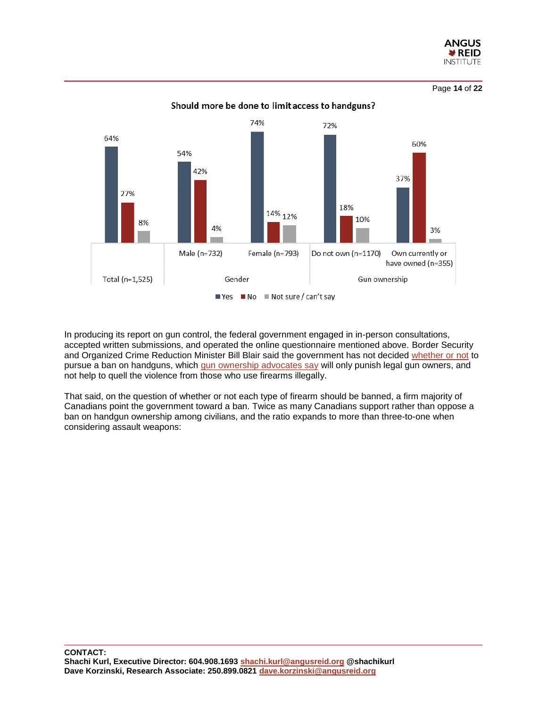

Page **14** of **22**



Should more be done to limit access to handguns?

In producing its report on gun control, the federal government engaged in in-person consultations, accepted written submissions, and operated the online questionnaire mentioned above. Border Security and Organized Crime Reduction Minister Bill Blair said the government has not decided [whether or not](https://www.ctvnews.ca/politics/blair-not-ruling-out-federal-order-to-implement-potential-handgun-ban-1.4427928) to pursue a ban on handguns, which [gun ownership advocates say](https://ipolitics.ca/2019/04/12/gun-control-advocates-challenge-blair-report-on-handgun-assault-rifle-bans/) will only punish legal gun owners, and not help to quell the violence from those who use firearms illegally.

That said, on the question of whether or not each type of firearm should be banned, a firm majority of Canadians point the government toward a ban. Twice as many Canadians support rather than oppose a ban on handgun ownership among civilians, and the ratio expands to more than three-to-one when considering assault weapons: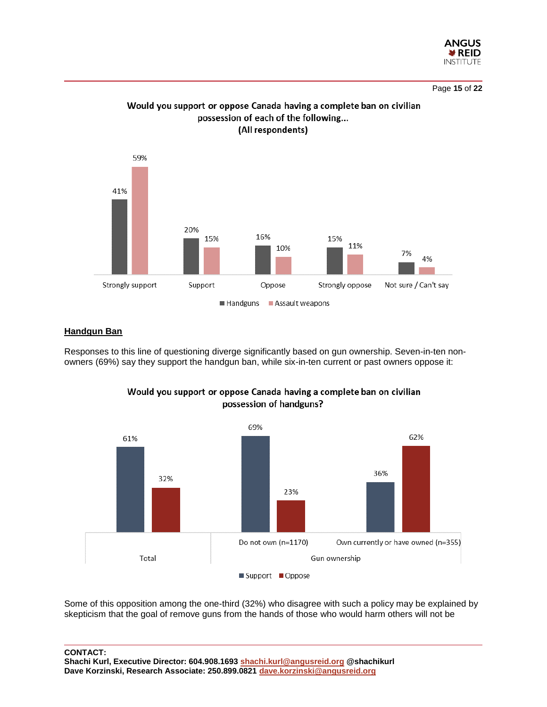

Page **15** of **22**



Would you support or oppose Canada having a complete ban on civilian possession of each of the following... (All respondents)

# **Handgun Ban**

Responses to this line of questioning diverge significantly based on gun ownership. Seven-in-ten nonowners (69%) say they support the handgun ban, while six-in-ten current or past owners oppose it:



Would you support or oppose Canada having a complete ban on civilian possession of handguns?

Some of this opposition among the one-third (32%) who disagree with such a policy may be explained by skepticism that the goal of remove guns from the hands of those who would harm others will not be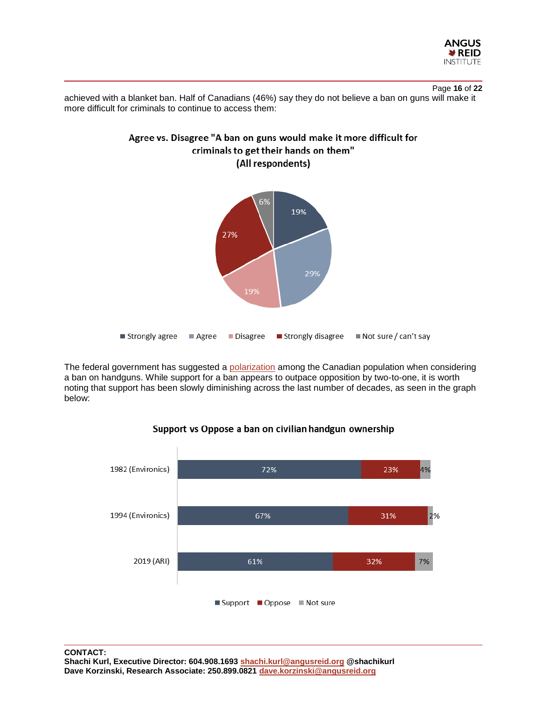

Page **16** of **22** achieved with a blanket ban. Half of Canadians (46%) say they do not believe a ban on guns will make it more difficult for criminals to continue to access them:



The federal government has suggested a [polarization](https://www.cbc.ca/news/politics/tasker-report-handgun-ban-government-report-1.5094690) among the Canadian population when considering a ban on handguns. While support for a ban appears to outpace opposition by two-to-one, it is worth noting that support has been slowly diminishing across the last number of decades, as seen in the graph below:



# Support vs Oppose a ban on civilian handgun ownership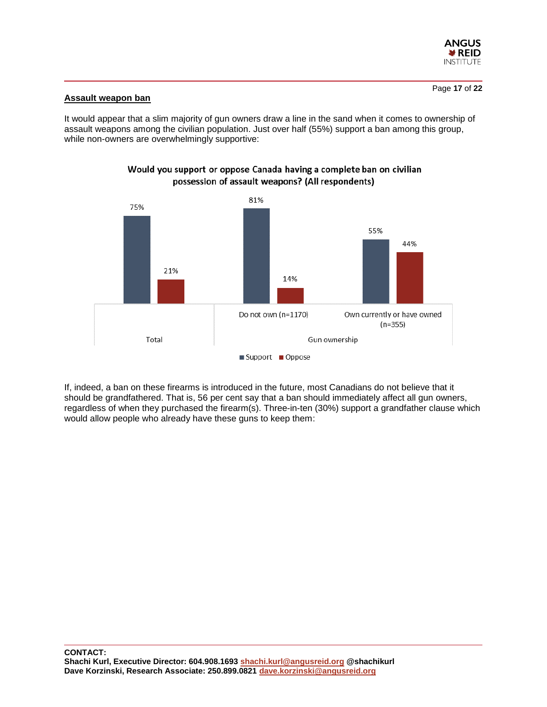

# **Assault weapon ban**

It would appear that a slim majority of gun owners draw a line in the sand when it comes to ownership of assault weapons among the civilian population. Just over half (55%) support a ban among this group, while non-owners are overwhelmingly supportive:



# Would you support or oppose Canada having a complete ban on civilian possession of assault weapons? (All respondents)

If, indeed, a ban on these firearms is introduced in the future, most Canadians do not believe that it should be grandfathered. That is, 56 per cent say that a ban should immediately affect all gun owners, regardless of when they purchased the firearm(s). Three-in-ten (30%) support a grandfather clause which would allow people who already have these guns to keep them: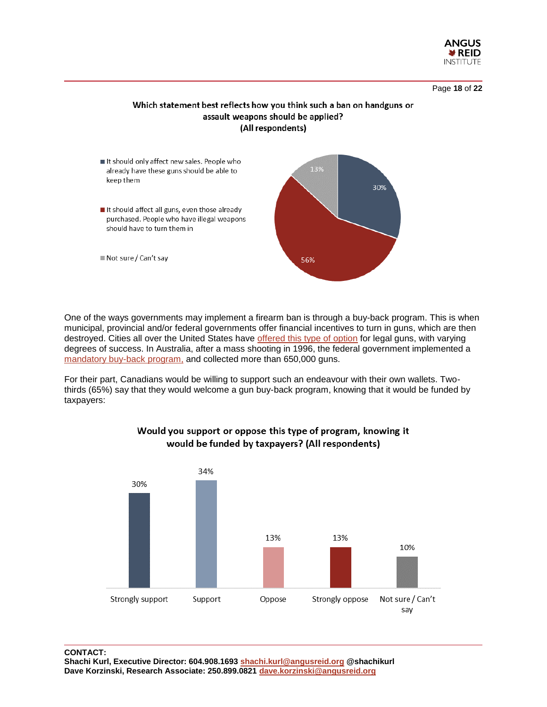

Page **18** of **22**

# Which statement best reflects how you think such a ban on handguns or assault weapons should be applied? (All respondents)



One of the ways governments may implement a firearm ban is through a buy-back program. This is when municipal, provincial and/or federal governments offer financial incentives to turn in guns, which are then destroyed. Cities all over the United States have [offered this type of option](https://www.npr.org/2013/01/15/169439243/newtown-prompts-gun-buybacks-but-do-they-work) for legal guns, with varying degrees of success. In Australia, after a mass shooting in 1996, the federal government implemented a [mandatory buy-back program,](https://www.vox.com/2015/8/27/9212725/australia-buyback) and collected more than 650,000 guns.

For their part, Canadians would be willing to support such an endeavour with their own wallets. Twothirds (65%) say that they would welcome a gun buy-back program, knowing that it would be funded by taxpayers:



# Would you support or oppose this type of program, knowing it would be funded by taxpayers? (All respondents)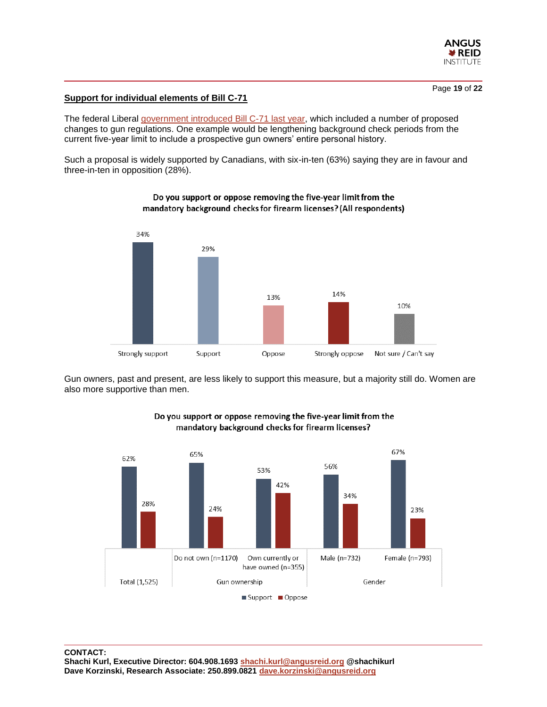

# **Support for individual elements of Bill C-71**

The federal Liberal [government introduced Bill C-71 last year,](https://www.cbc.ca/news/politics/c-71-ministers-unfazed-senate-changes-1.5092073) which included a number of proposed changes to gun regulations. One example would be lengthening background check periods from the current five-year limit to include a prospective gun owners' entire personal history.

Such a proposal is widely supported by Canadians, with six-in-ten (63%) saying they are in favour and three-in-ten in opposition (28%).



# Do you support or oppose removing the five-year limit from the mandatory background checks for firearm licenses? (All respondents)

Gun owners, past and present, are less likely to support this measure, but a majority still do. Women are also more supportive than men.



# Do you support or oppose removing the five-year limit from the mandatory background checks for firearm licenses?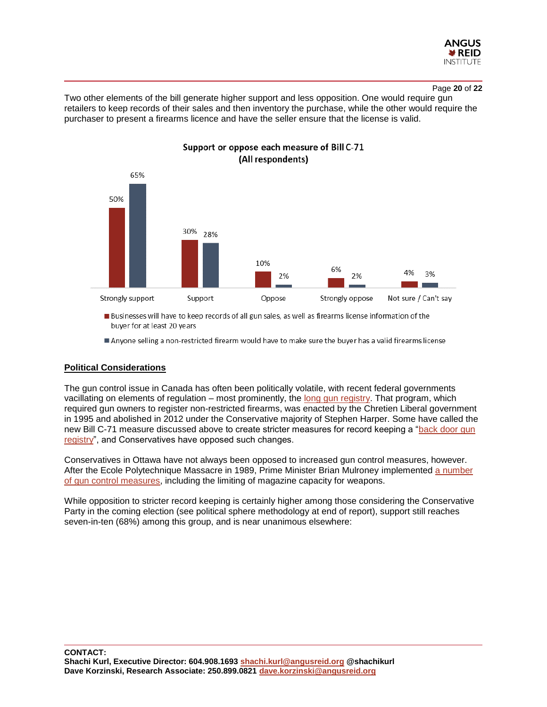

#### Page **20** of **22**

Two other elements of the bill generate higher support and less opposition. One would require gun retailers to keep records of their sales and then inventory the purchase, while the other would require the purchaser to present a firearms licence and have the seller ensure that the license is valid.



# Support or oppose each measure of Bill C-71 (All respondents)

**Businesses will have to keep records of all gun sales, as well as firearms license information of the** buyer for at least 20 years

Anyone selling a non-restricted firearm would have to make sure the buyer has a valid firearms license

#### **Political Considerations**

The gun control issue in Canada has often been politically volatile, with recent federal governments vacillating on elements of regulation – most prominently, the [long gun registry.](https://en.wikipedia.org/wiki/Canadian_Firearms_Registry) That program, which required gun owners to register non-restricted firearms, was enacted by the Chretien Liberal government in 1995 and abolished in 2012 under the Conservative majority of Stephen Harper. Some have called the new Bill C-71 measure discussed above to create stricter measures for record keeping a ["back door](https://www.cbc.ca/news/politics/tasker-gun-bill-c71-explainer-1.4833034) gun [registry"](https://www.cbc.ca/news/politics/tasker-gun-bill-c71-explainer-1.4833034), and Conservatives have opposed such changes.

Conservatives in Ottawa have not always been opposed to increased gun control measures, however. After the Ecole Polytechnique Massacre in 1989, Prime Minister Brian Mulroney implemented [a number](https://www.theglobeandmail.com/opinion/article-not-so-long-ago-gun-control-was-a-bipartisan-issue/)  [of gun control measures,](https://www.theglobeandmail.com/opinion/article-not-so-long-ago-gun-control-was-a-bipartisan-issue/) including the limiting of magazine capacity for weapons.

While opposition to stricter record keeping is certainly higher among those considering the Conservative Party in the coming election (see political sphere methodology at end of report), support still reaches seven-in-ten (68%) among this group, and is near unanimous elsewhere: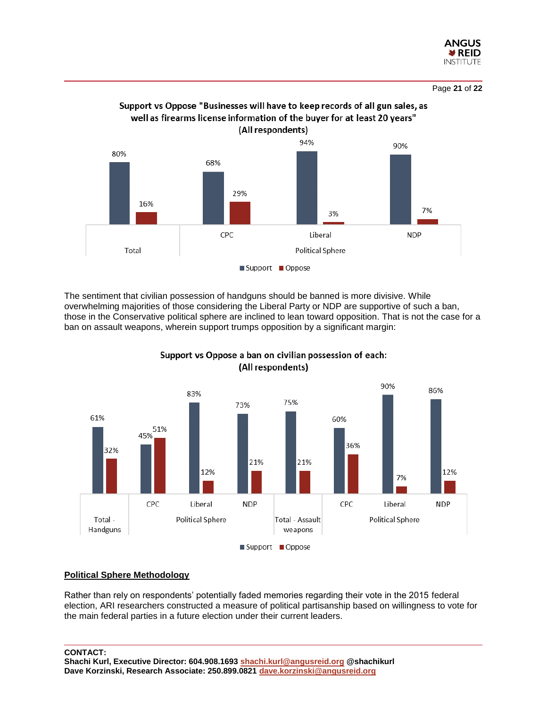

Page **21** of **22**



The sentiment that civilian possession of handguns should be banned is more divisive. While overwhelming majorities of those considering the Liberal Party or NDP are supportive of such a ban, those in the Conservative political sphere are inclined to lean toward opposition. That is not the case for a ban on assault weapons, wherein support trumps opposition by a significant margin:



Support vs Oppose a ban on civilian possession of each: (All respondents)

# **Political Sphere Methodology**

Rather than rely on respondents' potentially faded memories regarding their vote in the 2015 federal election, ARI researchers constructed a measure of political partisanship based on willingness to vote for the main federal parties in a future election under their current leaders.